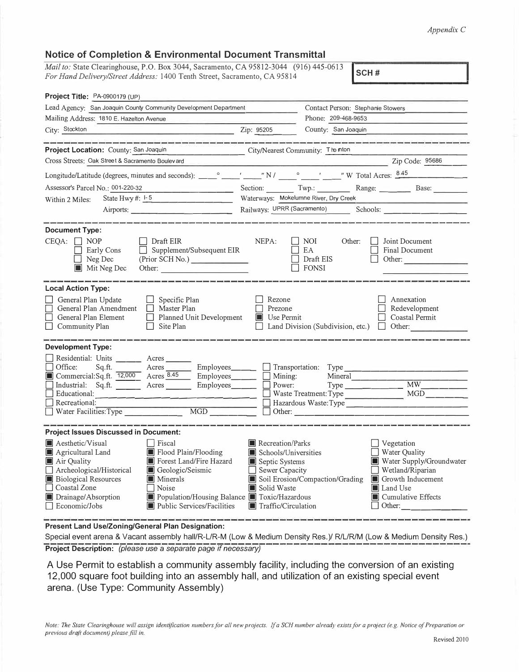## *Appendix* C

| Mail to: State Clearinghouse, P.O. Box 3044, Sacramento, CA 95812-3044 (916) 445-0613<br>For Hand Delivery/Street Address: 1400 Tenth Street, Sacramento, CA 95814                |                                           | SCH#                                               |                                                                                                                                                                                                                                      |  |
|-----------------------------------------------------------------------------------------------------------------------------------------------------------------------------------|-------------------------------------------|----------------------------------------------------|--------------------------------------------------------------------------------------------------------------------------------------------------------------------------------------------------------------------------------------|--|
| Project Title: PA-0900179 (UP)                                                                                                                                                    |                                           |                                                    |                                                                                                                                                                                                                                      |  |
| Lead Agency: San Joaquin County Community Development Department                                                                                                                  |                                           | Contact Person: Stephanie Stowers                  |                                                                                                                                                                                                                                      |  |
| Mailing Address: 1810 E. Hazelton Avenue                                                                                                                                          |                                           | Phone: 209-468-9653                                |                                                                                                                                                                                                                                      |  |
| City: Stockton<br><u> 1989 - Johann Harry Harry Harry Harry Harry Harry Harry Harry Harry Harry Harry Harry Harry Harry Harry Harry</u>                                           | Zip: 95205                                | County: San Joaquin                                |                                                                                                                                                                                                                                      |  |
| المامة فالمسامح والماسا فالمائم والماسات والمسامح والمتابع والمسامح والمسامح والمسامح والمسامح والمسامح والمسامح والمسامح                                                         |                                           |                                                    |                                                                                                                                                                                                                                      |  |
| Project Location: County: San Joaquin City/Nearest Community: The nton<br>Cross Streets: Oak Street & Sacramento Boulevard                                                        |                                           |                                                    |                                                                                                                                                                                                                                      |  |
|                                                                                                                                                                                   |                                           | Zip Code: 95686                                    |                                                                                                                                                                                                                                      |  |
|                                                                                                                                                                                   |                                           |                                                    |                                                                                                                                                                                                                                      |  |
| Assessor's Parcel No.: 001-220-32                                                                                                                                                 |                                           | Section: Twp.: Range: Base:                        |                                                                                                                                                                                                                                      |  |
| State Hwy #: $1-5$<br>Within 2 Miles:                                                                                                                                             |                                           | Waterways: Mokelumne River, Dry Creek              | <u> 1989 - Johann Harry Harry Harry Harry Harry Harry Harry Harry Harry Harry Harry Harry Harry Harry Harry Harry Harry Harry Harry Harry Harry Harry Harry Harry Harry Harry Harry Harry Harry Harry Harry Harry Harry Harry Ha</u> |  |
| Airports:                                                                                                                                                                         |                                           |                                                    |                                                                                                                                                                                                                                      |  |
|                                                                                                                                                                                   |                                           |                                                    |                                                                                                                                                                                                                                      |  |
| <b>Document Type:</b><br>$CEQA: \Box NOP$<br>$\Box$ Draft EIR<br>$\Box$ Supplement/Subsequent EIR<br>Early Cons<br>Neg Dec<br>(Prior SCH No.)<br>Mit Neg Dec<br>Other:            | NEPA:                                     | NOI 1<br>Other:<br>EA<br>Draft EIS<br><b>FONSI</b> | Joint Document<br>Final Document<br>Other:                                                                                                                                                                                           |  |
| <b>Local Action Type:</b>                                                                                                                                                         |                                           |                                                    |                                                                                                                                                                                                                                      |  |
| General Plan Update<br>$\Box$ Specific Plan<br>General Plan Amendment<br>Master Plan<br>General Plan Element<br>Planned Unit Development<br>Community Plan<br>Site Plan<br>$\Box$ | Rezone<br>Prezone<br>Use Permit<br>$\Box$ | Land Division (Subdivision, etc.)                  | Annexation<br>Redevelopment<br>Coastal Permit<br>Other:<br>$\Box$                                                                                                                                                                    |  |
| <b>Development Type:</b>                                                                                                                                                          |                                           |                                                    |                                                                                                                                                                                                                                      |  |
| Residential: Units ________ Acres _______                                                                                                                                         |                                           |                                                    |                                                                                                                                                                                                                                      |  |
| Acres Employees Transportation:<br>Office:<br>Sq.ft.                                                                                                                              |                                           | Type                                               |                                                                                                                                                                                                                                      |  |
| Commercial:Sq.ft. 12,000 Acres 8.45                                                                                                                                               | $\Box$ Employees $\Box$ Mining:           | Mineral                                            |                                                                                                                                                                                                                                      |  |
| Industrial: Sq.ft. <u>Acres</u>                                                                                                                                                   | Employees<br>Power:                       | $Type \_\_\_\_\_\_\_\_\_\_\_\_\_\_\_\_\_$          | $\overline{MW}$                                                                                                                                                                                                                      |  |

□ Water Facilities:Type \_\_\_\_\_\_\_ MGD \_\_\_\_ \_ D Other: \_\_\_\_\_\_\_\_\_\_\_\_\_\_\_\_ \_ **Project Issues Discussed in Document: E** Aesthetic/Visual Aesthetic/Visual **C** Fiscal **E** Recreation/Parks **C** Agricultural Land **E** Plood Plain/Flooding **C** Schools/Universities **E** Agricultural Land **II** Flood Plain/Flooding **II** Schools/Universities<br> **II** Air Quality **II** Forest Land/Fire Hazard **II** Septic Systems **■** Forest Land/Fire Hazard ■ Septic Systems<br>■ Geologic/Seismic Sewer Capacity □ Archeological/Historical ■ Geological<br>■ Biological Resources ■ Minerals ■ Minerals III Soil Erosion/Compaction/Grading III Noise III Solid Waste  $\Box$  Coastal Zone<br>  $\Box$  Drainage/Absorption **■** Drainage/Absorption <br>
■ Population/Housing Balance ■ Toxic/Hazardous<br>
■ Public Services/Facilities ■ Traffic/Circulation  $\Box$  Public Services/Facilities D Vegetation  $\Box$  Water Quality ■ Water Supply/Groundwater<br>□ Wetland/Riparian **Iii** Growth Inducement III Land Use  $\blacksquare$  Cumulative Effects  $\Box$  Other:

<sup>D</sup>Recreational:------------------- <sup>D</sup>Waste Treatment Type MGD \_\_\_\_ \_ D Hazardous Waste:Type \_\_\_\_\_\_\_\_\_\_\_\_\_ \_

**Present Land Use/Zoning/General Plan Designation:** 

Educational:<br>Recreational:

Special event arena & Vacant assembly hall/R-L/R-M (Low & Medium Density Res.)/ R/L/R/M (Low & Medium Density Res.) **Project Description:** *(please use* a *separate page if necessary)* 

A Use Permit to establish a community assembly facility, including the conversion of an existing 12,000 square foot building into an assembly hall, and utilization of an existing special event arena. (Use Type: Community Assembly)